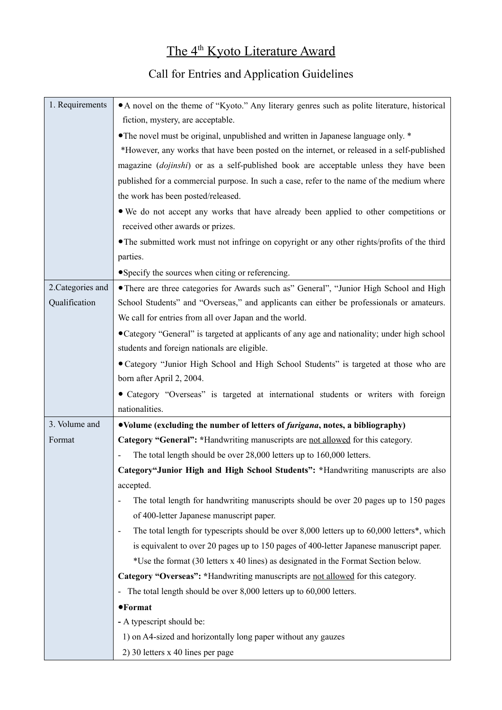## The 4<sup>th</sup> Kyoto Literature Award

## Call for Entries and Application Guidelines

| 1. Requirements   | • A novel on the theme of "Kyoto." Any literary genres such as polite literature, historical                           |
|-------------------|------------------------------------------------------------------------------------------------------------------------|
|                   | fiction, mystery, are acceptable.                                                                                      |
|                   | • The novel must be original, unpublished and written in Japanese language only. *                                     |
|                   | *However, any works that have been posted on the internet, or released in a self-published                             |
|                   | magazine (dojinshi) or as a self-published book are acceptable unless they have been                                   |
|                   | published for a commercial purpose. In such a case, refer to the name of the medium where                              |
|                   | the work has been posted/released.                                                                                     |
|                   | • We do not accept any works that have already been applied to other competitions or                                   |
|                   | received other awards or prizes.                                                                                       |
|                   | • The submitted work must not infringe on copyright or any other rights/profits of the third                           |
|                   | parties.                                                                                                               |
|                   | • Specify the sources when citing or referencing.                                                                      |
| 2. Categories and | • There are three categories for Awards such as" General", "Junior High School and High                                |
| Qualification     | School Students" and "Overseas," and applicants can either be professionals or amateurs.                               |
|                   | We call for entries from all over Japan and the world.                                                                 |
|                   | • Category "General" is targeted at applicants of any age and nationality; under high school                           |
|                   | students and foreign nationals are eligible.                                                                           |
|                   | • Category "Junior High School and High School Students" is targeted at those who are                                  |
|                   | born after April 2, 2004.                                                                                              |
|                   | • Category "Overseas" is targeted at international students or writers with foreign                                    |
|                   | nationalities.                                                                                                         |
| 3. Volume and     | •Volume (excluding the number of letters of <i>furigana</i> , notes, a bibliography)                                   |
| Format            | Category "General": *Handwriting manuscripts are not allowed for this category.                                        |
|                   | The total length should be over 28,000 letters up to 160,000 letters.                                                  |
|                   | Category"Junior High and High School Students": *Handwriting manuscripts are also                                      |
|                   | accepted.                                                                                                              |
|                   | The total length for handwriting manuscripts should be over 20 pages up to 150 pages                                   |
|                   | of 400-letter Japanese manuscript paper.                                                                               |
|                   | The total length for typescripts should be over 8,000 letters up to 60,000 letters*, which<br>$\overline{\phantom{a}}$ |
|                   | is equivalent to over 20 pages up to 150 pages of 400-letter Japanese manuscript paper.                                |
|                   | *Use the format (30 letters x 40 lines) as designated in the Format Section below.                                     |
|                   | Category "Overseas": *Handwriting manuscripts are not allowed for this category.                                       |
|                   | The total length should be over 8,000 letters up to 60,000 letters.<br>$\overline{\phantom{a}}$                        |
|                   | $\bullet$ Format                                                                                                       |
|                   | - A typescript should be:                                                                                              |
|                   | 1) on A4-sized and horizontally long paper without any gauzes                                                          |
|                   | 2) 30 letters x 40 lines per page                                                                                      |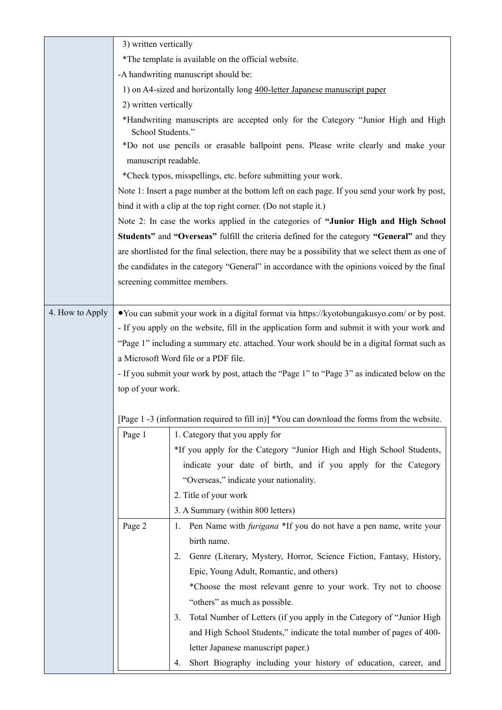|                 | 3) written vertically |                                                                                                   |
|-----------------|-----------------------|---------------------------------------------------------------------------------------------------|
|                 |                       | *The template is available on the official website.                                               |
|                 |                       | -A handwriting manuscript should be:                                                              |
|                 |                       | 1) on A4-sized and horizontally long 400-letter Japanese manuscript paper                         |
|                 | 2) written vertically |                                                                                                   |
|                 | School Students."     | *Handwriting manuscripts are accepted only for the Category "Junior High and High                 |
|                 |                       | *Do not use pencils or erasable ballpoint pens. Please write clearly and make your                |
|                 | manuscript readable.  |                                                                                                   |
|                 |                       | *Check typos, misspellings, etc. before submitting your work.                                     |
|                 |                       | Note 1: Insert a page number at the bottom left on each page. If you send your work by post,      |
|                 |                       | bind it with a clip at the top right corner. (Do not staple it.)                                  |
|                 |                       | Note 2: In case the works applied in the categories of "Junior High and High School               |
|                 |                       | Students" and "Overseas" fulfill the criteria defined for the category "General" and they         |
|                 |                       | are shortlisted for the final selection, there may be a possibility that we select them as one of |
|                 |                       | the candidates in the category "General" in accordance with the opinions voiced by the final      |
|                 |                       | screening committee members.                                                                      |
|                 |                       |                                                                                                   |
| 4. How to Apply |                       | • You can submit your work in a digital format via https://kyotobungakusyo.com/ or by post.       |
|                 |                       | - If you apply on the website, fill in the application form and submit it with your work and      |
|                 |                       | "Page 1" including a summary etc. attached. Your work should be in a digital format such as       |
|                 |                       | a Microsoft Word file or a PDF file.                                                              |
|                 |                       | - If you submit your work by post, attach the "Page 1" to "Page 3" as indicated below on the      |
|                 | top of your work.     |                                                                                                   |
|                 |                       |                                                                                                   |
|                 |                       | [Page 1 -3 (information required to fill in)] *You can download the forms from the website.       |
|                 | Page 1                | 1. Category that you apply for                                                                    |
|                 |                       | *If you apply for the Category "Junior High and High School Students,                             |
|                 |                       | indicate your date of birth, and if you apply for the Category                                    |
|                 |                       | "Overseas," indicate your nationality.                                                            |
|                 |                       | 2. Title of your work                                                                             |
|                 |                       | 3. A Summary (within 800 letters)                                                                 |
|                 | Page 2                | Pen Name with <i>furigana</i> *If you do not have a pen name, write your<br>1.                    |
|                 |                       | birth name.                                                                                       |
|                 |                       | Genre (Literary, Mystery, Horror, Science Fiction, Fantasy, History,<br>2.                        |
|                 |                       | Epic, Young Adult, Romantic, and others)                                                          |
|                 |                       | *Choose the most relevant genre to your work. Try not to choose                                   |
|                 |                       | "others" as much as possible.                                                                     |
|                 |                       | Total Number of Letters (if you apply in the Category of "Junior High<br>3.                       |
|                 |                       | and High School Students," indicate the total number of pages of 400-                             |
|                 |                       | letter Japanese manuscript paper.)                                                                |
|                 |                       | Short Biography including your history of education, career, and<br>4.                            |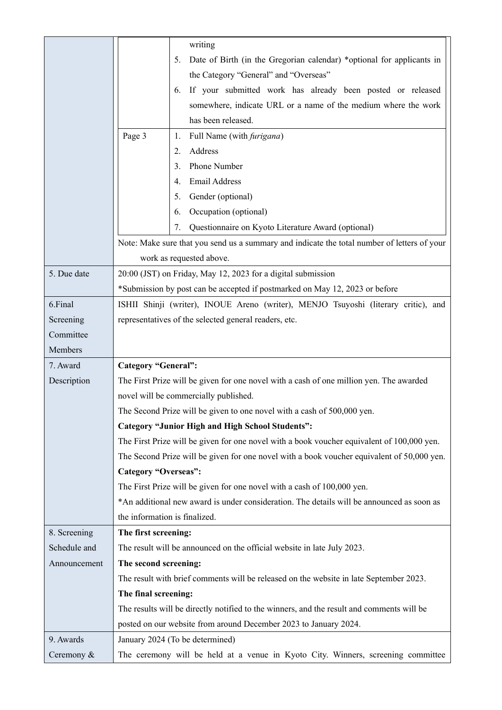|              | writing                                                                                     |
|--------------|---------------------------------------------------------------------------------------------|
|              | Date of Birth (in the Gregorian calendar) *optional for applicants in<br>5.                 |
|              | the Category "General" and "Overseas"                                                       |
|              | If your submitted work has already been posted or released<br>6.                            |
|              | somewhere, indicate URL or a name of the medium where the work                              |
|              | has been released.                                                                          |
|              | Page 3<br>Full Name (with <i>furigana</i> )<br>1.                                           |
|              | Address<br>2.                                                                               |
|              | Phone Number<br>3 <sub>1</sub>                                                              |
|              | Email Address<br>4.                                                                         |
|              | Gender (optional)<br>5.                                                                     |
|              | Occupation (optional)<br>6.                                                                 |
|              | 7.<br>Questionnaire on Kyoto Literature Award (optional)                                    |
|              | Note: Make sure that you send us a summary and indicate the total number of letters of your |
|              | work as requested above.                                                                    |
| 5. Due date  | 20:00 (JST) on Friday, May 12, 2023 for a digital submission                                |
|              | *Submission by post can be accepted if postmarked on May 12, 2023 or before                 |
| 6.Final      | ISHII Shinji (writer), INOUE Areno (writer), MENJO Tsuyoshi (literary critic), and          |
| Screening    | representatives of the selected general readers, etc.                                       |
| Committee    |                                                                                             |
| Members      |                                                                                             |
| 7. Award     | <b>Category "General":</b>                                                                  |
| Description  | The First Prize will be given for one novel with a cash of one million yen. The awarded     |
|              | novel will be commercially published.                                                       |
|              | The Second Prize will be given to one novel with a cash of 500,000 yen.                     |
|              | <b>Category "Junior High and High School Students":</b>                                     |
|              | The First Prize will be given for one novel with a book voucher equivalent of 100,000 yen.  |
|              | The Second Prize will be given for one novel with a book voucher equivalent of 50,000 yen.  |
|              | <b>Category "Overseas":</b>                                                                 |
|              | The First Prize will be given for one novel with a cash of 100,000 yen.                     |
|              | *An additional new award is under consideration. The details will be announced as soon as   |
|              | the information is finalized.                                                               |
| 8. Screening | The first screening:                                                                        |
| Schedule and | The result will be announced on the official website in late July 2023.                     |
| Announcement | The second screening:                                                                       |
|              | The result with brief comments will be released on the website in late September 2023.      |
|              | The final screening:                                                                        |
|              | The results will be directly notified to the winners, and the result and comments will be   |
|              | posted on our website from around December 2023 to January 2024.                            |
| 9. Awards    | January 2024 (To be determined)                                                             |
| Ceremony &   | The ceremony will be held at a venue in Kyoto City. Winners, screening committee            |